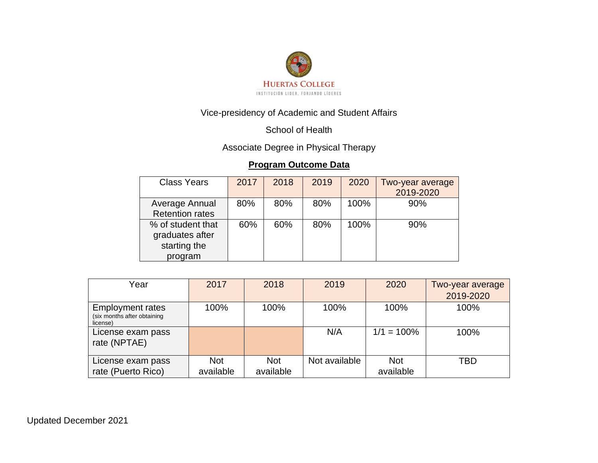

### Vice-presidency of Academic and Student Affairs

#### School of Health

### Associate Degree in Physical Therapy

## **Program Outcome Data**

| <b>Class Years</b>                                              | 2017 | 2018 | 2019 | 2020 | Two-year average<br>2019-2020 |
|-----------------------------------------------------------------|------|------|------|------|-------------------------------|
| Average Annual<br><b>Retention rates</b>                        | 80%  | 80%  | 80%  | 100% | 90%                           |
| % of student that<br>graduates after<br>starting the<br>program | 60%  | 60%  | 80%  | 100% | 90%                           |

| Year                                                               | 2017                    | 2018                    | 2019          | 2020                    | Two-year average<br>2019-2020 |
|--------------------------------------------------------------------|-------------------------|-------------------------|---------------|-------------------------|-------------------------------|
| <b>Employment rates</b><br>(six months after obtaining<br>license) | 100%                    | 100%                    | 100%          | 100%                    | 100%                          |
| License exam pass<br>rate (NPTAE)                                  |                         |                         | N/A           | $1/1 = 100\%$           | 100%                          |
| License exam pass<br>rate (Puerto Rico)                            | <b>Not</b><br>available | <b>Not</b><br>available | Not available | <b>Not</b><br>available | TBD                           |